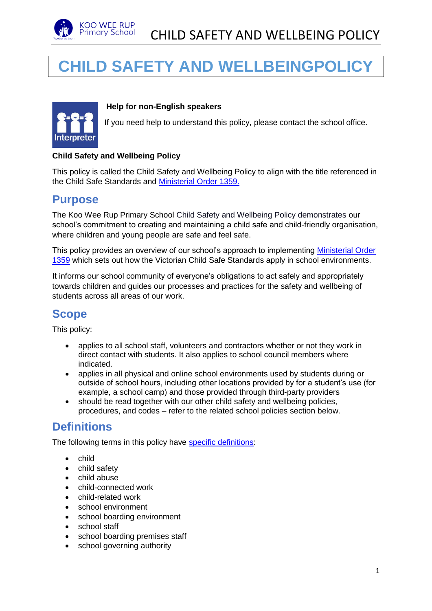

# **CHILD SAFETY AND WELLBEINGPOLICY**



#### **Help for non-English speakers**

If you need help to understand this policy, please contact the school office.

#### **Child Safety and Wellbeing Policy**

This policy is called the Child Safety and Wellbeing Policy to align with the title referenced in the Child Safe Standards and [Ministerial Order 1359.](https://www.education.vic.gov.au/Documents/about/programs/health/protect/Ministerial_Order.pdf)

#### **Purpose**

The Koo Wee Rup Primary School Child Safety and Wellbeing Policy demonstrates our school's commitment to creating and maintaining a child safe and child-friendly organisation, where children and young people are safe and feel safe.

This policy provides an overview of our school's approach to implementing [Ministerial Order](https://www.education.vic.gov.au/Documents/about/programs/health/protect/Ministerial_Order.pdf)  [1359](https://www.education.vic.gov.au/Documents/about/programs/health/protect/Ministerial_Order.pdf) which sets out how the Victorian Child Safe Standards apply in school environments.

It informs our school community of everyone's obligations to act safely and appropriately towards children and guides our processes and practices for the safety and wellbeing of students across all areas of our work.

#### **Scope**

This policy:

- applies to all school staff, volunteers and contractors whether or not they work in direct contact with students. It also applies to school council members where indicated.
- applies in all physical and online school environments used by students during or outside of school hours, including other locations provided by for a student's use (for example, a school camp) and those provided through third-party providers
- should be read together with our other child safety and wellbeing policies, procedures, and codes – refer to the related school policies section below.

#### **Definitions**

The following terms in this policy have [specific definitions:](https://www.vic.gov.au/child-safe-standards-definitions)

- child
- child safety
- child abuse
- child-connected work
- child-related work
- school environment
- school boarding environment
- school staff
- school boarding premises staff
- school governing authority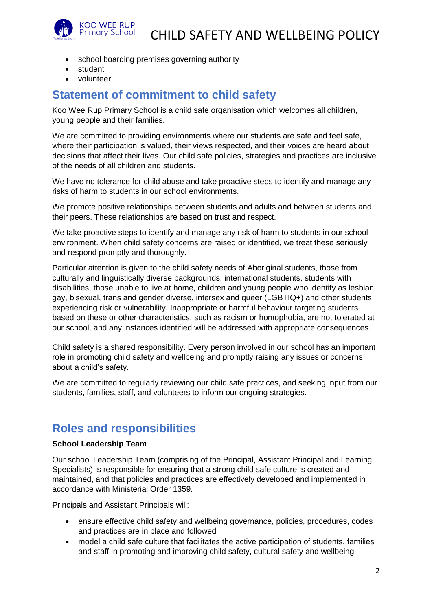

- school boarding premises governing authority
- student
- volunteer.

### **Statement of commitment to child safety**

Koo Wee Rup Primary School is a child safe organisation which welcomes all children, young people and their families.

We are committed to providing environments where our students are safe and feel safe, where their participation is valued, their views respected, and their voices are heard about decisions that affect their lives. Our child safe policies, strategies and practices are inclusive of the needs of all children and students.

We have no tolerance for child abuse and take proactive steps to identify and manage any risks of harm to students in our school environments.

We promote positive relationships between students and adults and between students and their peers. These relationships are based on trust and respect.

We take proactive steps to identify and manage any risk of harm to students in our school environment. When child safety concerns are raised or identified, we treat these seriously and respond promptly and thoroughly.

Particular attention is given to the child safety needs of Aboriginal students, those from culturally and linguistically diverse backgrounds, international students, students with disabilities, those unable to live at home, children and young people who identify as lesbian, gay, bisexual, trans and gender diverse, intersex and queer (LGBTIQ+) and other students experiencing risk or vulnerability. Inappropriate or harmful behaviour targeting students based on these or other characteristics, such as racism or homophobia, are not tolerated at our school, and any instances identified will be addressed with appropriate consequences.

Child safety is a shared responsibility. Every person involved in our school has an important role in promoting child safety and wellbeing and promptly raising any issues or concerns about a child's safety.

We are committed to regularly reviewing our child safe practices, and seeking input from our students, families, staff, and volunteers to inform our ongoing strategies.

#### **Roles and responsibilities**

#### **School Leadership Team**

Our school Leadership Team (comprising of the Principal, Assistant Principal and Learning Specialists) is responsible for ensuring that a strong child safe culture is created and maintained, and that policies and practices are effectively developed and implemented in accordance with Ministerial Order 1359.

Principals and Assistant Principals will:

- ensure effective child safety and wellbeing governance, policies, procedures, codes and practices are in place and followed
- model a child safe culture that facilitates the active participation of students, families and staff in promoting and improving child safety, cultural safety and wellbeing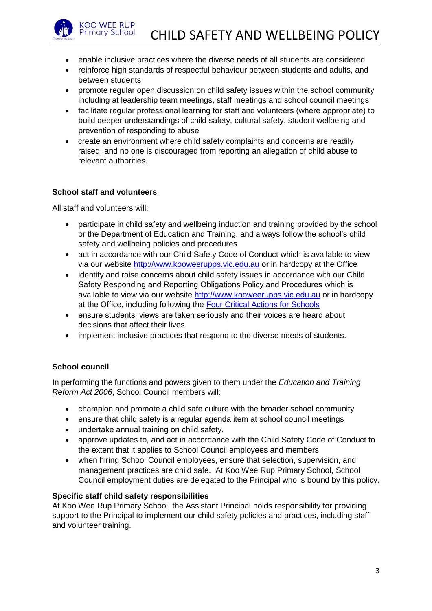

- enable inclusive practices where the diverse needs of all students are considered
- reinforce high standards of respectful behaviour between students and adults, and between students
- promote regular open discussion on child safety issues within the school community including at leadership team meetings, staff meetings and school council meetings
- facilitate regular professional learning for staff and volunteers (where appropriate) to build deeper understandings of child safety, cultural safety, student wellbeing and prevention of responding to abuse
- create an environment where child safety complaints and concerns are readily raised, and no one is discouraged from reporting an allegation of child abuse to relevant authorities.

#### **School staff and volunteers**

All staff and volunteers will:

- participate in child safety and wellbeing induction and training provided by the school or the Department of Education and Training, and always follow the school's child safety and wellbeing policies and procedures
- act in accordance with our Child Safety Code of Conduct which is available to view via our website [http://www.kooweerupps.vic.edu.au](http://www.kooweerupps.vic.edu.au/) or in hardcopy at the Office
- identify and raise concerns about child safety issues in accordance with our Child Safety Responding and Reporting Obligations Policy and Procedures which is available to view via our website [http://www.kooweerupps.vic.edu.au](http://www.kooweerupps.vic.edu.au/) or in hardcopy at the Office, including following the [Four Critical Actions for Schools](https://www.education.vic.gov.au/school/teachers/health/childprotection/Pages/report.aspx)
- ensure students' views are taken seriously and their voices are heard about decisions that affect their lives
- implement inclusive practices that respond to the diverse needs of students.

#### **School council**

In performing the functions and powers given to them under the *Education and Training Reform Act 2006*, School Council members will:

- champion and promote a child safe culture with the broader school community
- ensure that child safety is a regular agenda item at school council meetings
- undertake annual training on child safety,
- approve updates to, and act in accordance with the Child Safety Code of Conduct to the extent that it applies to School Council employees and members
- when hiring School Council employees, ensure that selection, supervision, and management practices are child safe. At Koo Wee Rup Primary School, School Council employment duties are delegated to the Principal who is bound by this policy.

#### **Specific staff child safety responsibilities**

At Koo Wee Rup Primary School, the Assistant Principal holds responsibility for providing support to the Principal to implement our child safety policies and practices, including staff and volunteer training.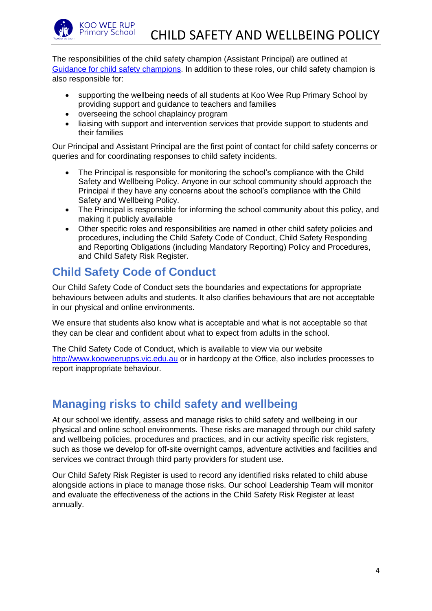

The responsibilities of the child safety champion (Assistant Principal) are outlined at [Guidance for child safety champions.](https://www.vic.gov.au/guidance-child-safety-champions) In addition to these roles, our child safety champion is also responsible for:

- supporting the wellbeing needs of all students at Koo Wee Rup Primary School by providing support and guidance to teachers and families
- overseeing the school chaplaincy program
- liaising with support and intervention services that provide support to students and their families

Our Principal and Assistant Principal are the first point of contact for child safety concerns or queries and for coordinating responses to child safety incidents.

- The Principal is responsible for monitoring the school's compliance with the Child Safety and Wellbeing Policy. Anyone in our school community should approach the Principal if they have any concerns about the school's compliance with the Child Safety and Wellbeing Policy.
- The Principal is responsible for informing the school community about this policy, and making it publicly available
- Other specific roles and responsibilities are named in other child safety policies and procedures, including the Child Safety Code of Conduct, Child Safety Responding and Reporting Obligations (including Mandatory Reporting) Policy and Procedures, and Child Safety Risk Register.

### **Child Safety Code of Conduct**

Our Child Safety Code of Conduct sets the boundaries and expectations for appropriate behaviours between adults and students. It also clarifies behaviours that are not acceptable in our physical and online environments.

We ensure that students also know what is acceptable and what is not acceptable so that they can be clear and confident about what to expect from adults in the school.

The Child Safety Code of Conduct, which is available to view via our website [http://www.kooweerupps.vic.edu.au](http://www.kooweerupps.vic.edu.au/) or in hardcopy at the Office, also includes processes to report inappropriate behaviour.

### **Managing risks to child safety and wellbeing**

At our school we identify, assess and manage risks to child safety and wellbeing in our physical and online school environments. These risks are managed through our child safety and wellbeing policies, procedures and practices, and in our activity specific risk registers, such as those we develop for off-site overnight camps, adventure activities and facilities and services we contract through third party providers for student use.

Our Child Safety Risk Register is used to record any identified risks related to child abuse alongside actions in place to manage those risks. Our school Leadership Team will monitor and evaluate the effectiveness of the actions in the Child Safety Risk Register at least annually.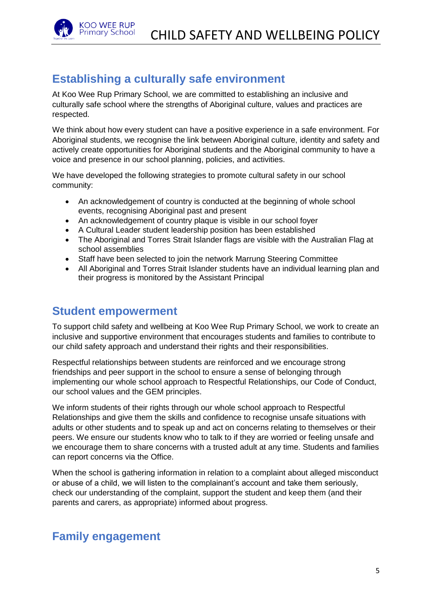

### **Establishing a culturally safe environment**

At Koo Wee Rup Primary School, we are committed to establishing an inclusive and culturally safe school where the strengths of Aboriginal culture, values and practices are respected.

We think about how every student can have a positive experience in a safe environment. For Aboriginal students, we recognise the link between Aboriginal culture, identity and safety and actively create opportunities for Aboriginal students and the Aboriginal community to have a voice and presence in our school planning, policies, and activities.

We have developed the following strategies to promote cultural safety in our school community:

- An acknowledgement of country is conducted at the beginning of whole school events, recognising Aboriginal past and present
- An acknowledgement of country plaque is visible in our school foyer
- A Cultural Leader student leadership position has been established
- The Aboriginal and Torres Strait Islander flags are visible with the Australian Flag at school assemblies
- Staff have been selected to join the network Marrung Steering Committee
- All Aboriginal and Torres Strait Islander students have an individual learning plan and their progress is monitored by the Assistant Principal

#### **Student empowerment**

To support child safety and wellbeing at Koo Wee Rup Primary School, we work to create an inclusive and supportive environment that encourages students and families to contribute to our child safety approach and understand their rights and their responsibilities.

Respectful relationships between students are reinforced and we encourage strong friendships and peer support in the school to ensure a sense of belonging through implementing our whole school approach to Respectful Relationships, our Code of Conduct, our school values and the GEM principles.

We inform students of their rights through our whole school approach to Respectful Relationships and give them the skills and confidence to recognise unsafe situations with adults or other students and to speak up and act on concerns relating to themselves or their peers. We ensure our students know who to talk to if they are worried or feeling unsafe and we encourage them to share concerns with a trusted adult at any time. Students and families can report concerns via the Office.

When the school is gathering information in relation to a complaint about alleged misconduct or abuse of a child, we will listen to the complainant's account and take them seriously, check our understanding of the complaint, support the student and keep them (and their parents and carers, as appropriate) informed about progress.

### **Family engagement**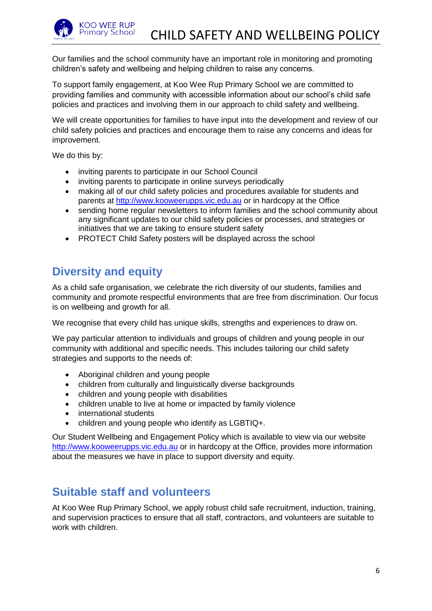

Our families and the school community have an important role in monitoring and promoting children's safety and wellbeing and helping children to raise any concerns.

To support family engagement, at Koo Wee Rup Primary School we are committed to providing families and community with accessible information about our school's child safe policies and practices and involving them in our approach to child safety and wellbeing.

We will create opportunities for families to have input into the development and review of our child safety policies and practices and encourage them to raise any concerns and ideas for improvement.

We do this by:

- inviting parents to participate in our School Council
- inviting parents to participate in online surveys periodically
- making all of our child safety policies and procedures available for students and parents at [http://www.kooweerupps.vic.edu.au](http://www.kooweerupps.vic.edu.au/) or in hardcopy at the Office
- sending home regular newsletters to inform families and the school community about any significant updates to our child safety policies or processes, and strategies or initiatives that we are taking to ensure student safety
- PROTECT Child Safety posters will be displayed across the school

### **Diversity and equity**

As a child safe organisation, we celebrate the rich diversity of our students, families and community and promote respectful environments that are free from discrimination. Our focus is on wellbeing and growth for all.

We recognise that every child has unique skills, strengths and experiences to draw on.

We pay particular attention to individuals and groups of children and young people in our community with additional and specific needs. This includes tailoring our child safety strategies and supports to the needs of:

- Aboriginal children and young people
- children from culturally and linguistically diverse backgrounds
- children and young people with disabilities
- children unable to live at home or impacted by family violence
- international students
- children and young people who identify as LGBTIQ+.

Our Student Wellbeing and Engagement Policy which is available to view via our website [http://www.kooweerupps.vic.edu.au](http://www.kooweerupps.vic.edu.au/) or in hardcopy at the Office, provides more information about the measures we have in place to support diversity and equity.

#### **Suitable staff and volunteers**

At Koo Wee Rup Primary School, we apply robust child safe recruitment, induction, training, and supervision practices to ensure that all staff, contractors, and volunteers are suitable to work with children.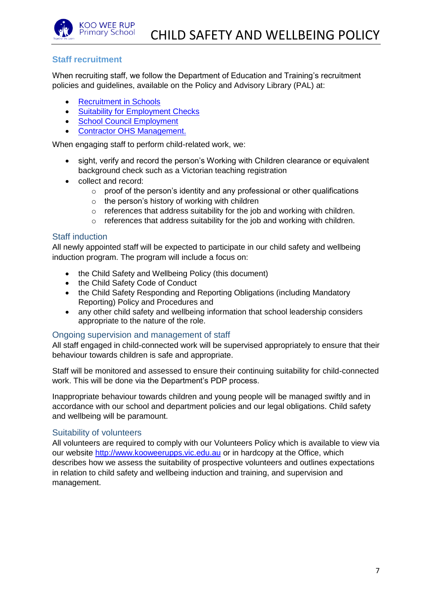

#### **Staff recruitment**

When recruiting staff, we follow the Department of Education and Training's recruitment policies and guidelines, available on the Policy and Advisory Library (PAL) at:

- [Recruitment in Schools](https://www2.education.vic.gov.au/pal/recruitment-schools/overview)
- [Suitability for Employment Checks](https://www2.education.vic.gov.au/pal/suitability-employment-checks/overview)
- [School Council Employment](https://www2.education.vic.gov.au/pal/school-council-employment/overview)
- [Contractor OHS Management.](https://www2.education.vic.gov.au/pal/contractor-ohs-management/policy)

When engaging staff to perform child-related work, we:

- sight, verify and record the person's Working with Children clearance or equivalent background check such as a Victorian teaching registration
- collect and record:
	- o proof of the person's identity and any professional or other qualifications
	- $\circ$  the person's history of working with children
	- o references that address suitability for the job and working with children.
	- o references that address suitability for the job and working with children.

#### Staff induction

All newly appointed staff will be expected to participate in our child safety and wellbeing induction program. The program will include a focus on:

- the Child Safety and Wellbeing Policy (this document)
- the Child Safety Code of Conduct
- the Child Safety Responding and Reporting Obligations (including Mandatory Reporting) Policy and Procedures and
- any other child safety and wellbeing information that school leadership considers appropriate to the nature of the role.

#### Ongoing supervision and management of staff

All staff engaged in child-connected work will be supervised appropriately to ensure that their behaviour towards children is safe and appropriate.

Staff will be monitored and assessed to ensure their continuing suitability for child-connected work. This will be done via the Department's PDP process.

Inappropriate behaviour towards children and young people will be managed swiftly and in accordance with our school and department policies and our legal obligations. Child safety and wellbeing will be paramount.

#### Suitability of volunteers

All volunteers are required to comply with our Volunteers Policy which is available to view via our website [http://www.kooweerupps.vic.edu.au](http://www.kooweerupps.vic.edu.au/) or in hardcopy at the Office, which describes how we assess the suitability of prospective volunteers and outlines expectations in relation to child safety and wellbeing induction and training, and supervision and management.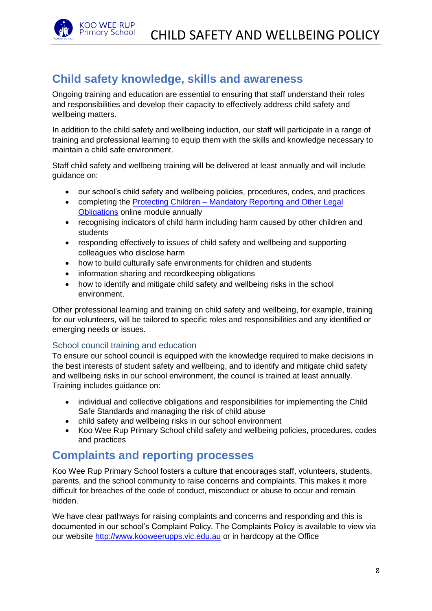

## **Child safety knowledge, skills and awareness**

Ongoing training and education are essential to ensuring that staff understand their roles and responsibilities and develop their capacity to effectively address child safety and wellbeing matters.

In addition to the child safety and wellbeing induction, our staff will participate in a range of training and professional learning to equip them with the skills and knowledge necessary to maintain a child safe environment.

Staff child safety and wellbeing training will be delivered at least annually and will include guidance on:

- our school's child safety and wellbeing policies, procedures, codes, and practices
- completing the Protecting Children Mandatory Reporting and Other Legal [Obligations](http://elearn.com.au/det/protectingchildren/) online module annually
- recognising indicators of child harm including harm caused by other children and students
- responding effectively to issues of child safety and wellbeing and supporting colleagues who disclose harm
- how to build culturally safe environments for children and students
- information sharing and recordkeeping obligations
- how to identify and mitigate child safety and wellbeing risks in the school environment.

Other professional learning and training on child safety and wellbeing, for example, training for our volunteers, will be tailored to specific roles and responsibilities and any identified or emerging needs or issues.

#### School council training and education

To ensure our school council is equipped with the knowledge required to make decisions in the best interests of student safety and wellbeing, and to identify and mitigate child safety and wellbeing risks in our school environment, the council is trained at least annually. Training includes guidance on:

- individual and collective obligations and responsibilities for implementing the Child Safe Standards and managing the risk of child abuse
- child safety and wellbeing risks in our school environment
- Koo Wee Rup Primary School child safety and wellbeing policies, procedures, codes and practices

#### **Complaints and reporting processes**

Koo Wee Rup Primary School fosters a culture that encourages staff, volunteers, students, parents, and the school community to raise concerns and complaints. This makes it more difficult for breaches of the code of conduct, misconduct or abuse to occur and remain hidden.

We have clear pathways for raising complaints and concerns and responding and this is documented in our school's Complaint Policy. The Complaints Policy is available to view via our website [http://www.kooweerupps.vic.edu.au](http://www.kooweerupps.vic.edu.au/) or in hardcopy at the Office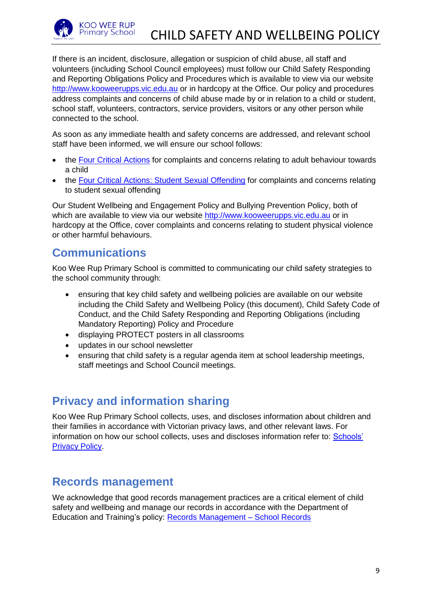

If there is an incident, disclosure, allegation or suspicion of child abuse, all staff and volunteers (including School Council employees) must follow our Child Safety Responding and Reporting Obligations Policy and Procedures which is available to view via our website [http://www.kooweerupps.vic.edu.au](http://www.kooweerupps.vic.edu.au/) or in hardcopy at the Office. Our policy and procedures address complaints and concerns of child abuse made by or in relation to a child or student, school staff, volunteers, contractors, service providers, visitors or any other person while connected to the school.

As soon as any immediate health and safety concerns are addressed, and relevant school staff have been informed, we will ensure our school follows:

- the [Four Critical Actions](https://www.education.vic.gov.au/Documents/about/programs/health/protect/FourCriticalActions_ChildAbuse.pdf) for complaints and concerns relating to adult behaviour towards a child
- the [Four Critical Actions: Student Sexual Offending](https://www.education.vic.gov.au/school/teachers/health/childprotection/Pages/stusexual.aspx) for complaints and concerns relating to student sexual offending

Our Student Wellbeing and Engagement Policy and Bullying Prevention Policy, both of which are available to view via our website [http://www.kooweerupps.vic.edu.au](http://www.kooweerupps.vic.edu.au/) or in hardcopy at the Office, cover complaints and concerns relating to student physical violence or other harmful behaviours.

#### **Communications**

Koo Wee Rup Primary School is committed to communicating our child safety strategies to the school community through:

- ensuring that key child safety and wellbeing policies are available on our website including the Child Safety and Wellbeing Policy (this document), Child Safety Code of Conduct, and the Child Safety Responding and Reporting Obligations (including Mandatory Reporting) Policy and Procedure
- displaying PROTECT posters in all classrooms
- updates in our school newsletter
- ensuring that child safety is a regular agenda item at school leadership meetings, staff meetings and School Council meetings.

## **Privacy and information sharing**

Koo Wee Rup Primary School collects, uses, and discloses information about children and their families in accordance with Victorian privacy laws, and other relevant laws. For information on how our school collects, uses and discloses information refer to: **Schools'** [Privacy Policy.](https://www.education.vic.gov.au/Pages/schoolsprivacypolicy.aspx)

#### **Records management**

We acknowledge that good records management practices are a critical element of child safety and wellbeing and manage our records in accordance with the Department of Education and Training's policy: [Records Management –](https://www2.education.vic.gov.au/pal/records-management/policy) School Records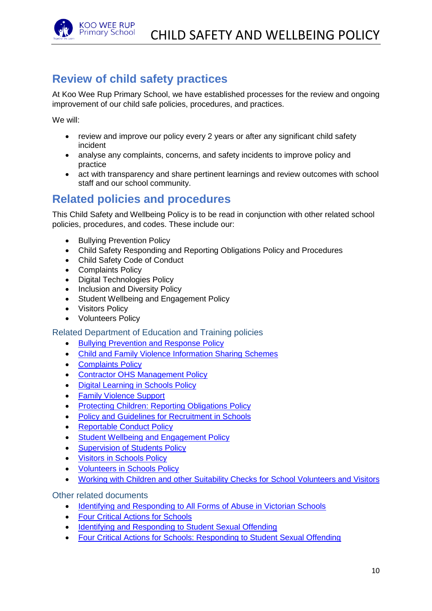

### **Review of child safety practices**

At Koo Wee Rup Primary School, we have established processes for the review and ongoing improvement of our child safe policies, procedures, and practices.

We will:

- review and improve our policy every 2 years or after any significant child safety incident
- analyse any complaints, concerns, and safety incidents to improve policy and practice
- act with transparency and share pertinent learnings and review outcomes with school staff and our school community.

### **Related policies and procedures**

This Child Safety and Wellbeing Policy is to be read in conjunction with other related school policies, procedures, and codes. These include our:

- Bullying Prevention Policy
- Child Safety Responding and Reporting Obligations Policy and Procedures
- Child Safety Code of Conduct
- Complaints Policy
- Digital Technologies Policy
- Inclusion and Diversity Policy
- Student Wellbeing and Engagement Policy
- Visitors Policy
- Volunteers Policy

Related Department of Education and Training policies

- [Bullying Prevention and Response Policy](https://www2.education.vic.gov.au/pal/bullying-prevention-response/policy)
- [Child and Family Violence Information Sharing Schemes](https://www2.education.vic.gov.au/pal/information-sharing-schemes/policy)
- [Complaints Policy](https://www2.education.vic.gov.au/pal/complaints/policy)
- [Contractor OHS Management Policy](https://www2.education.vic.gov.au/pal/contractor-ohs-management/policy)
- [Digital Learning in Schools Policy](https://www2.education.vic.gov.au/pal/digital-learning/policy)
- [Family Violence Support](https://www2.education.vic.gov.au/pal/family-violence-support/policy)
- [Protecting Children: Reporting Obligations Policy](https://www2.education.vic.gov.au/pal/protecting-children/policy)
- [Policy and Guidelines for Recruitment in Schools](https://www2.education.vic.gov.au/pal/recruitment-schools/policy-and-guidelines)
- [Reportable Conduct Policy](https://www2.education.vic.gov.au/pal/reportable-conduct-scheme/policy)
- [Student Wellbeing and Engagement Policy](https://www2.education.vic.gov.au/pal/student-engagement/policy)
- [Supervision of Students Policy](https://www2.education.vic.gov.au/pal/supervision-students/policy)
- [Visitors in Schools Policy](https://www2.education.vic.gov.au/pal/visitors/policy)
- [Volunteers in Schools Policy](https://www2.education.vic.gov.au/pal/volunteers/policy)
- [Working with Children and other Suitability Checks for School Volunteers and Visitors](https://www2.education.vic.gov.au/pal/suitability-checks/policy)

Other related documents

- [Identifying and Responding to All Forms of Abuse in Victorian Schools](https://www.education.vic.gov.au/Documents/about/programs/health/protect/ChildSafeStandard5_SchoolsGuide.pdf)
- [Four Critical Actions for Schools](https://www.education.vic.gov.au/Documents/about/programs/health/protect/FourCriticalActions_ChildAbuse.pdf)
- [Identifying and Responding to Student Sexual Offending](https://www.education.vic.gov.au/Documents/about/programs/health/protect/SSO_Policy.pdf)
- [Four Critical Actions for Schools: Responding to Student Sexual Offending](https://www.education.vic.gov.au/Documents/about/programs/health/protect/FourCriticalActions_SSO.pdf)